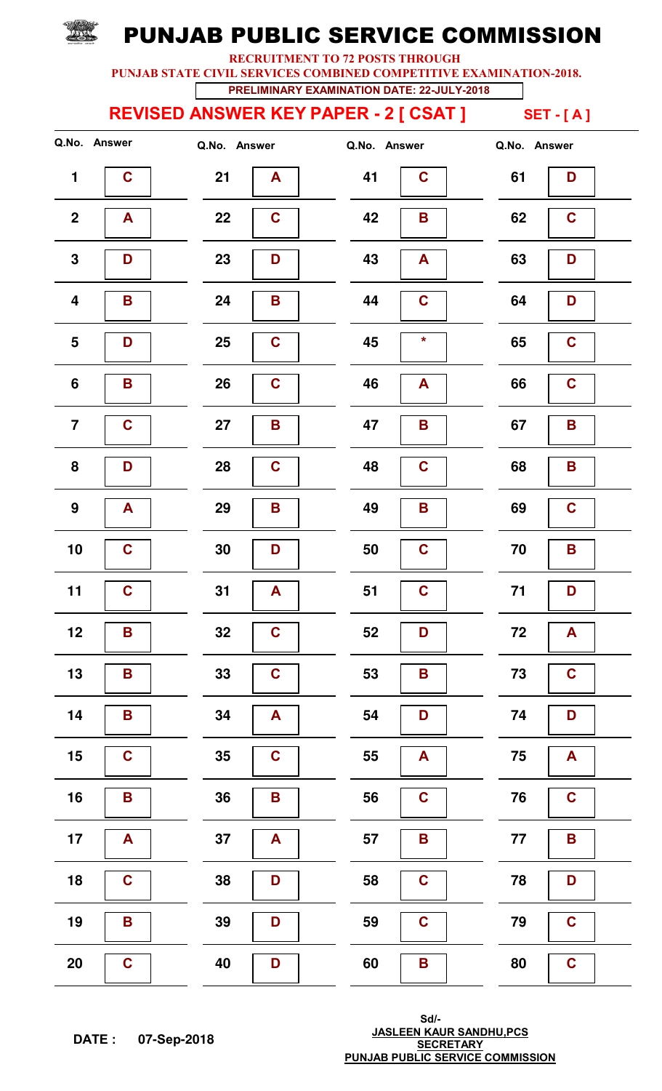RECRUITMENT TO 72 POSTS THROUGH

PUNJAB STATE CIVIL SERVICES COMBINED COMPETITIVE EXAMINATION-2018.

PRELIMINARY EXAMINATION DATE: 22-JULY-2018

#### REVISED ANSWER KEY PAPER - 2 [ CSAT ] SET - [A]

**TANNEL** 

|                         | Q.No. Answer            | Q.No. Answer      | Q.No. Answer                  | Q.No. Answer        |
|-------------------------|-------------------------|-------------------|-------------------------------|---------------------|
| $\mathbf 1$             | $\mathbf C$             | 21<br>A           | 41<br>$\mathbf c$             | 61<br>D             |
| $\mathbf{2}$            | A                       | 22<br>$\mathbf C$ | 42<br>$\mathsf B$             | 62<br>$\mathbf C$   |
| $\mathbf 3$             | D                       | 23<br>D           | 43<br>A                       | 63<br>D             |
| $\overline{\mathbf{4}}$ | B                       | 24<br>B           | 44<br>$\mathbf c$             | 64<br>D             |
| $\overline{\mathbf{5}}$ | D                       | $\mathbf C$<br>25 | $\star$<br>45                 | $\mathbf C$<br>65   |
| $\boldsymbol{6}$        | B                       | $\mathbf C$<br>26 | A<br>46                       | $\mathbf C$<br>66   |
| $\overline{7}$          | $\mathbf C$             | 27<br>B           | 47<br>B                       | 67<br>B             |
| ${\bf 8}$               | D                       | 28<br>$\mathbf C$ | $\mathbf c$<br>48             | 68<br>B             |
| 9                       | A                       | 29<br>B           | B<br>49                       | 69<br>$\mathbf C$   |
| 10                      | $\mathbf C$             | 30<br>D           | $\mathbf C$<br>50             | 70<br>B             |
| 11                      | $\mathbf C$             | 31<br>A           | $\mathbf C$<br>51             | 71<br>D             |
| 12                      | B                       | 32<br>$\mathbf C$ | 52<br>D                       | 72<br>A             |
| 13                      | $\overline{\mathbf{B}}$ | $\mathbf C$<br>33 | 53<br>$\mathbf B$             | 73<br>$\mathbf C$   |
| 14                      | $\overline{\mathbf{B}}$ | 34<br>A           | 54<br>D                       | 74<br>D             |
| 15                      | $\mathbf C$             | 35<br>$\mathbf C$ | 55<br>A                       | 75<br>A             |
| 16                      | B                       | 36<br>B           | $\mathbf C$<br>56             | 76<br>$\mathbf C$   |
| 17                      | A                       | 37<br>A           | $\overline{\mathbf{B}}$<br>57 | $77$<br>$\mathbf B$ |
| 18                      | $\mathbf C$             | 38<br>D           | 58<br>$\mathbf C$             | 78<br>D             |
| 19                      | B                       | 39<br>D           | $\mathbf C$<br>59             | $\mathbf C$<br>79   |
| <b>20</b>               | $\mathbf C$             | 40<br>D           | 60<br>B                       | 80<br>$\mathbf C$   |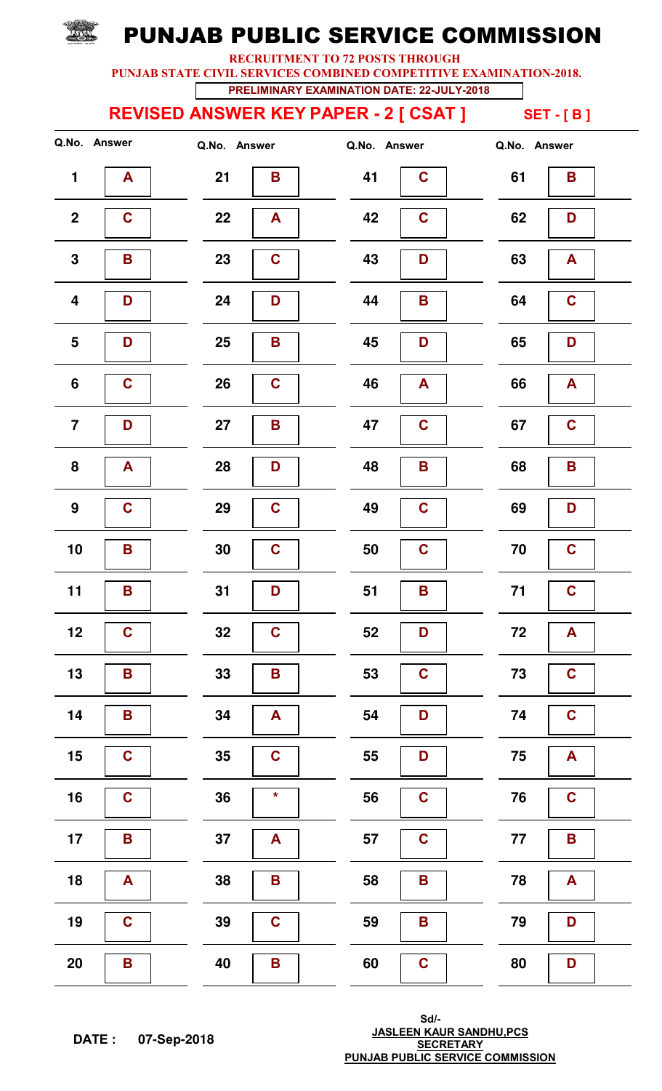RECRUITMENT TO 72 POSTS THROUGH

PUNJAB STATE CIVIL SERVICES COMBINED COMPETITIVE EXAMINATION-2018.

PRELIMINARY EXAMINATION DATE: 22-JULY-2018

REVISED ANSWER KEY PAPER - 2 [ CSAT ] SET - [ B ]

|                         | Q.No. Answer | Q.No. Answer      | Q.No. Answer      | Q.No. Answer        |
|-------------------------|--------------|-------------------|-------------------|---------------------|
| $\mathbf{1}$            | A            | 21<br>B           | 41<br>$\mathbf c$ | 61<br>B             |
| $\boldsymbol{2}$        | $\mathbf C$  | 22<br>A           | $\mathbf C$<br>42 | 62<br>D             |
| $\mathbf 3$             | B            | $\mathbf C$<br>23 | 43<br>D           | 63<br>$\mathbf{A}$  |
| $\overline{\mathbf{4}}$ | D            | 24<br>D           | 44<br>$\mathsf B$ | $\mathbf C$<br>64   |
| $5\phantom{1}$          | D            | 25<br>B           | 45<br>D           | 65<br>D             |
| $6\phantom{a}$          | $\mathbf C$  | 26<br>$\mathbf C$ | 46<br>A           | 66<br>A             |
| $\overline{7}$          | D            | 27<br>B           | $\mathbf c$<br>47 | 67<br>$\mathbf C$   |
| 8                       | A            | 28<br>D           | 48<br>B           | 68<br>B             |
| 9                       | $\mathbf C$  | 29<br>$\mathbf C$ | $\mathbf C$<br>49 | 69<br>D             |
| 10                      | B            | 30<br>$\mathbf C$ | $\mathbf C$<br>50 | $\mathbf C$<br>70   |
| 11                      | B            | 31<br>D           | B<br>51           | $71$<br>$\mathbf C$ |
| 12                      | $\mathbf C$  | 32<br>$\mathbf C$ | 52<br>D           | 72<br>$\mathbf{A}$  |
| 13                      | B            | 33<br>B           | $\mathbf C$<br>53 | $\mathbf C$<br>73   |
| 14                      | B            | 34<br>A           | 54<br>D           | $\mathbf C$<br>74   |
| 15                      | $\mathbf C$  | 35<br>$\mathbf C$ | 55<br>D           | 75<br>A             |
| 16                      | $\mathbf C$  | $\star$<br>36     | $\mathbf C$<br>56 | $\mathbf C$<br>76   |
| 17                      | B            | 37<br>A           | 57<br>$\mathbf C$ | 77<br>$\mathbf B$   |
| 18                      | A            | 38<br>B           | 58<br>B           | 78<br>A             |
| 19                      | $\mathbf C$  | 39<br>$\mathbf C$ | 59<br>B           | 79<br>D             |
| 20                      | B            | 40<br>Β           | 60<br>$\mathbf C$ | 80<br>D             |

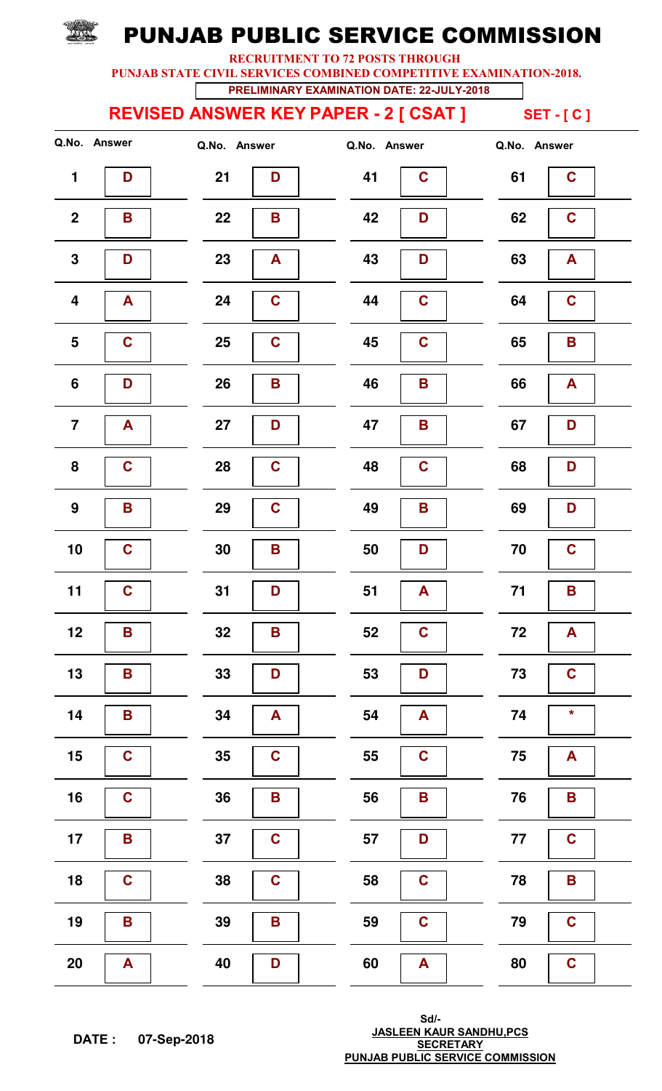RECRUITMENT TO 72 POSTS THROUGH

PUNJAB STATE CIVIL SERVICES COMBINED COMPETITIVE EXAMINATION-2018.

PRELIMINARY EXAMINATION DATE: 22-JULY-2018

REVISED ANSWER KEY PAPER - 2 [ CSAT ] SET - [ C ]

**TANNEL** 

|                         | Q.No. Answer            | Q.No. Answer       | Q.No. Answer                  | Q.No. Answer        |
|-------------------------|-------------------------|--------------------|-------------------------------|---------------------|
| $\blacksquare$          | D                       | 21<br>D            | 41<br>$\mathbf C$             | 61<br>$\mathbf C$   |
| $\boldsymbol{2}$        | B                       | 22<br>$\mathsf B$  | 42<br>D                       | 62<br>$\mathbf C$   |
| $\mathbf 3$             | D                       | 23<br>$\mathsf{A}$ | 43<br>D                       | 63<br>A             |
| $\overline{\mathbf{4}}$ | A                       | $\mathbf C$<br>24  | 44<br>$\mathbf c$             | 64<br>$\mathbf C$   |
| $\overline{\mathbf{5}}$ | $\mathbf C$             | $\mathbf C$<br>25  | $\mathbf C$<br>45             | 65<br>B             |
| $\boldsymbol{6}$        | D                       | 26<br>$\mathsf B$  | B<br>46                       | 66<br>A             |
| $\overline{7}$          | A                       | 27<br>D            | 47<br>B                       | 67<br>D             |
| ${\bf 8}$               | $\mathbf C$             | 28<br>$\mathbf C$  | $\mathbf c$<br>48             | 68<br>D             |
| 9                       | B                       | $\mathbf C$<br>29  | B<br>49                       | 69<br>D             |
| 10                      | $\mathbf C$             | 30<br>B            | 50<br>D                       | 70<br>$\mathbf C$   |
| 11                      | $\mathbf C$             | 31<br>D            | 51<br>A                       | 71<br>B             |
| 12                      | B                       | 32<br>B            | 52<br>$\mathbf C$             | 72<br>A             |
| 13                      | $\mathbf B$             | 33<br>D            | 53<br>D                       | 73<br>$\mathbf C$   |
| 14                      | $\overline{\mathbf{B}}$ | 34<br>A            | 54<br>A                       | *<br>74             |
| 15                      | $\mathbf C$             | 35<br>$\mathbf C$  | 55<br>$\mathbf C$             | 75<br>A             |
| 16                      | $\mathbf C$             | 36<br>B            | $\overline{\mathbf{B}}$<br>56 | 76<br>B             |
| 17                      | $\overline{\mathbf{B}}$ | $\mathbf C$<br>37  | 57<br>D                       | $\mathbf C$<br>$77$ |
| 18                      | $\mathbf C$             | 38<br>$\mathbf C$  | 58<br>$\mathbf C$             | 78<br>B             |
| 19                      | $\overline{\mathbf{B}}$ | 39<br>B            | $\mathbf C$<br>59             | 79<br>$\mathbf C$   |
| <b>20</b>               | A                       | 40<br>D            | 60<br>A                       | 80<br>$\mathbf C$   |